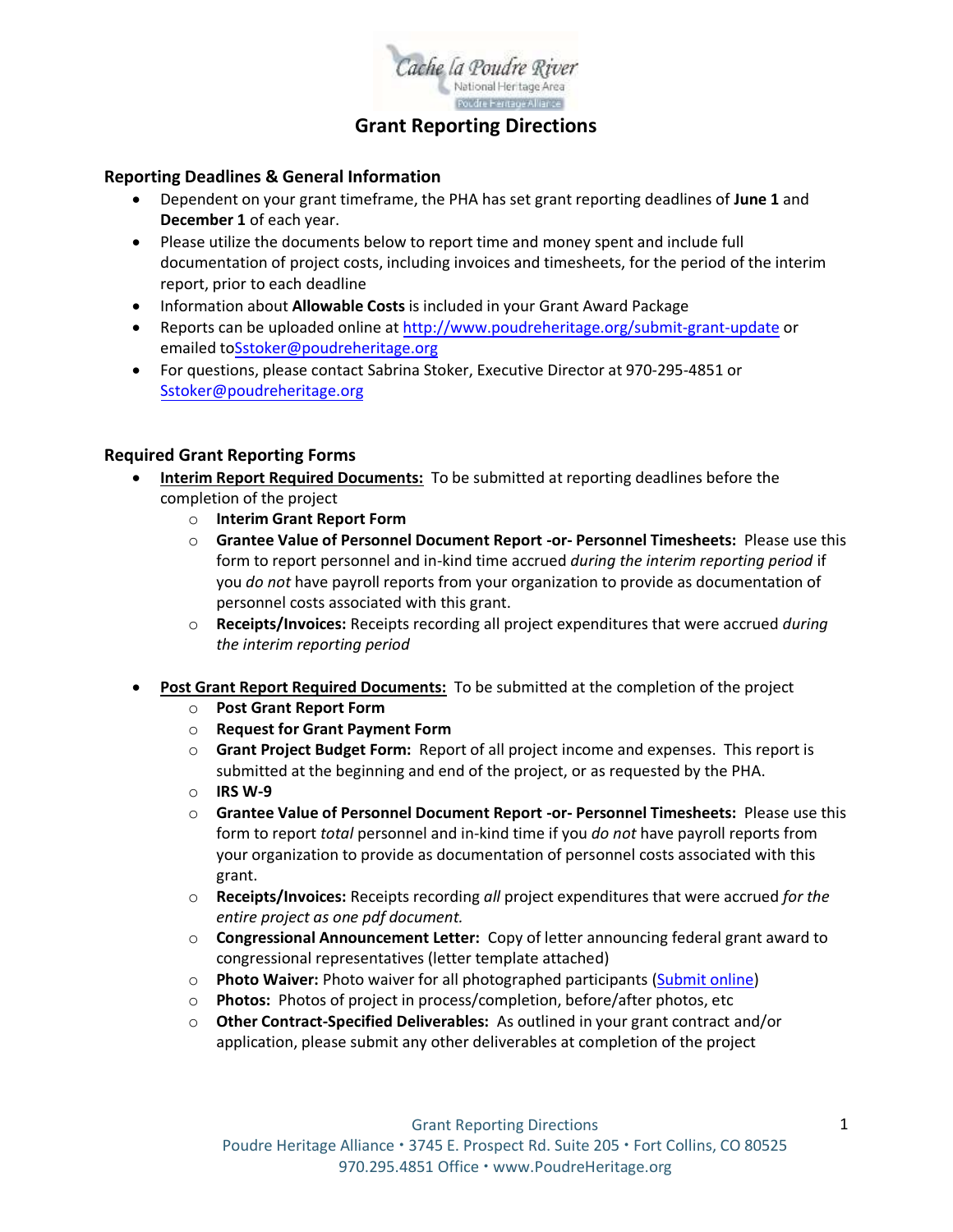

## **Grant Reporting Directions**

#### **Reporting Deadlines & General Information**

- Dependent on your grant timeframe, the PHA has set grant reporting deadlines of **June 1** and **December 1** of each year.
- Please utilize the documents below to report time and money spent and include full documentation of project costs, including invoices and timesheets, for the period of the interim report, prior to each deadline
- Information about **Allowable Costs** is included in your Grant Award Package
- Reports can be uploaded online at <http://www.poudreheritage.org/submit-grant-update> or emailed toSstoker[@poudreheritage.org](mailto:kbenedict@poudreheritage.org)
- For questions, please contact Sabrina Stoker, Executive Director at 970-295-4851 or Sstoker[@poudreheritage.org](mailto:kbenedict@poudreheritage.org)

#### **Required Grant Reporting Forms**

- **Interim Report Required Documents:** To be submitted at reporting deadlines before the completion of the project
	- o **Interim Grant Report Form**
	- o **Grantee Value of Personnel Document Report -or- Personnel Timesheets:** Please use this form to report personnel and in-kind time accrued *during the interim reporting period* if you *do not* have payroll reports from your organization to provide as documentation of personnel costs associated with this grant.
	- o **Receipts/Invoices:** Receipts recording all project expenditures that were accrued *during the interim reporting period*
- **Post Grant Report Required Documents:** To be submitted at the completion of the project
	- o **Post Grant Report Form**
	- o **Request for Grant Payment Form**
	- o **Grant Project Budget Form:** Report of all project income and expenses. This report is submitted at the beginning and end of the project, or as requested by the PHA.
	- o **IRS W-9**
	- o **Grantee Value of Personnel Document Report -or- Personnel Timesheets:** Please use this form to report *total* personnel and in-kind time if you *do not* have payroll reports from your organization to provide as documentation of personnel costs associated with this grant.
	- o **Receipts/Invoices:** Receipts recording *all* project expenditures that were accrued *for the entire project as one pdf document.*
	- o **Congressional Announcement Letter:** Copy of letter announcing federal grant award to congressional representatives (letter template attached)
	- o **Photo Waiver:** Photo waiver for all photographed participants [\(Submit online\)](https://poudreheritage.org/wellness-program/participantphoto-waiver/)
	- o **Photos:** Photos of project in process/completion, before/after photos, etc
	- o **Other Contract-Specified Deliverables:** As outlined in your grant contract and/or application, please submit any other deliverables at completion of the project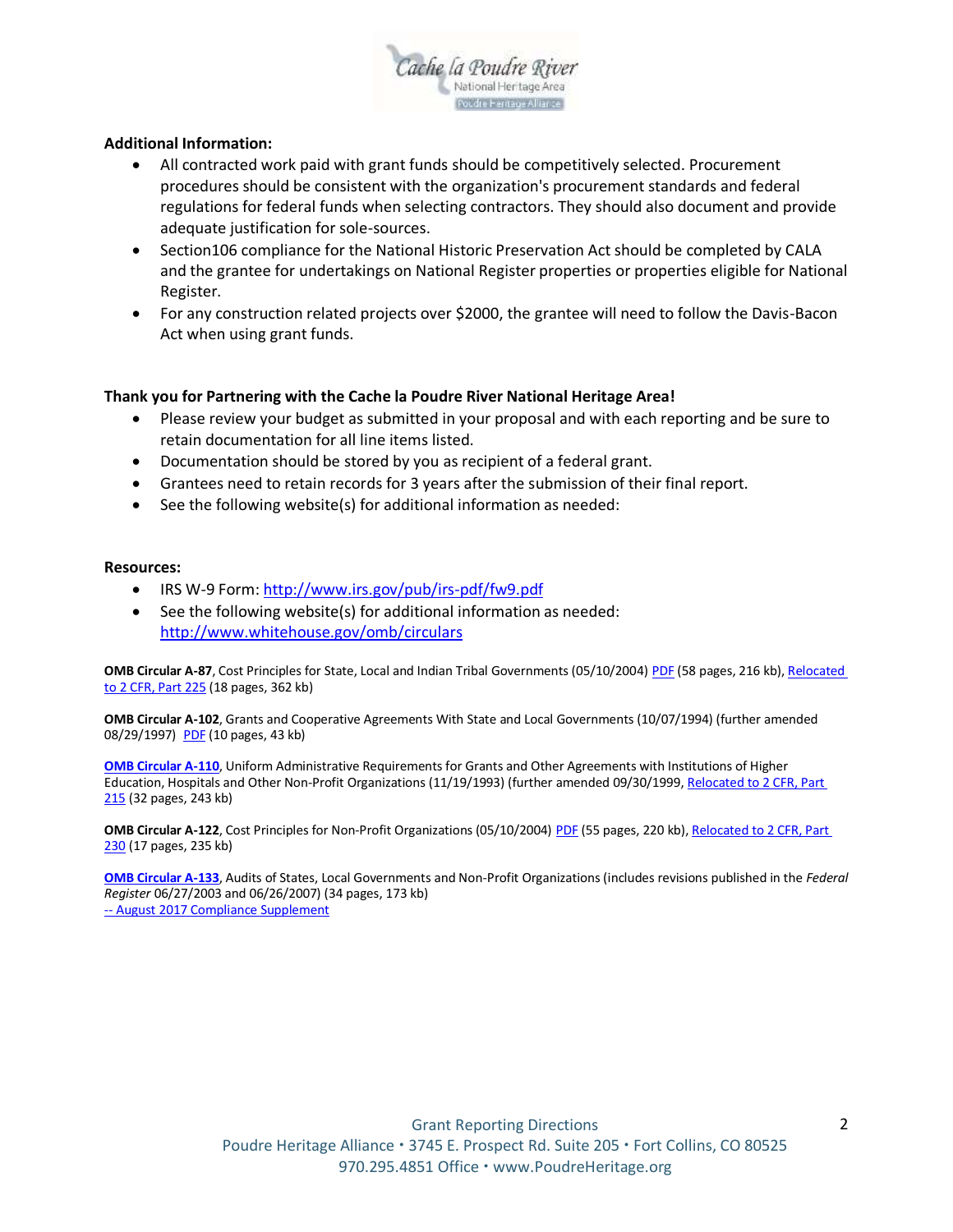

#### **Additional Information:**

- All contracted work paid with grant funds should be competitively selected. Procurement procedures should be consistent with the organization's procurement standards and federal regulations for federal funds when selecting contractors. They should also document and provide adequate justification for sole-sources.
- Section106 compliance for the National Historic Preservation Act should be completed by CALA and the grantee for undertakings on National Register properties or properties eligible for National Register.
- For any construction related projects over \$2000, the grantee will need to follow the Davis-Bacon Act when using grant funds.

#### **Thank you for Partnering with the Cache la Poudre River National Heritage Area!**

- Please review your budget as submitted in your proposal and with each reporting and be sure to retain documentation for all line items listed.
- Documentation should be stored by you as recipient of a federal grant.
- Grantees need to retain records for 3 years after the submission of their final report.
- See the following website(s) for additional information as needed:

#### **Resources:**

- IRS W-9 Form: <http://www.irs.gov/pub/irs-pdf/fw9.pdf>
- See the following website(s) for additional information as needed: <http://www.whitehouse.gov/omb/circulars>

**OMB Circular A-87**, Cost Principles for State, Local and Indian Tribal Governments (05/10/2004) [PDF](https://www.whitehouse.gov/sites/whitehouse.gov/files/omb/circulars/A87/a87_2004.pdf) (58 pages, 216 kb), Relocated [to 2 CFR, Part 225](https://www.whitehouse.gov/sites/whitehouse.gov/files/omb/federal_register/FR2005/083105_a87.pdf) (18 pages, 362 kb)

**OMB Circular A-102**, Grants and Cooperative Agreements With State and Local Governments (10/07/1994) (further amended 08/29/1997) [PDF](https://www.whitehouse.gov/sites/whitehouse.gov/files/omb/circulars/A102/a102.pdf) (10 pages, 43 kb)

**[OMB Circular A-110](https://www.whitehouse.gov/wp-content/uploads/2017/11/Circular-110.pdf)**, Uniform Administrative Requirements for Grants and Other Agreements with Institutions of Higher Education, Hospitals and Other Non-Profit Organizations (11/19/1993) (further amended 09/30/1999, Relocated to 2 CFR, Part [215](https://www.whitehouse.gov/sites/whitehouse.gov/files/omb/circulars/A110/2cfr215-0.pdf) (32 pages, 243 kb)

**OMB Circular A-122**, Cost Principles for Non-Profit Organizations (05/10/2004) [PDF](https://www.whitehouse.gov/sites/whitehouse.gov/files/omb/circulars/A122/a122_2004.pdf) (55 pages, 220 kb), Relocated to 2 CFR, Part [230](https://www.whitehouse.gov/sites/whitehouse.gov/files/omb/federal_register/FR2005/083105_a122.pdf) (17 pages, 235 kb)

**[OMB Circular A-133](https://www.whitehouse.gov/sites/whitehouse.gov/files/omb/circulars/A133/a133_revised_2007.pdf)**, Audits of States, Local Governments and Non-Profit Organizations (includes revisions published in the *Federal Register* 06/27/2003 and 06/26/2007) (34 pages, 173 kb) -- August [2017 Compliance Supplement](https://www.whitehouse.gov/sites/whitehouse.gov/files/omb/circulars/A133/2017/Compliance_Supplement_2017.pdf)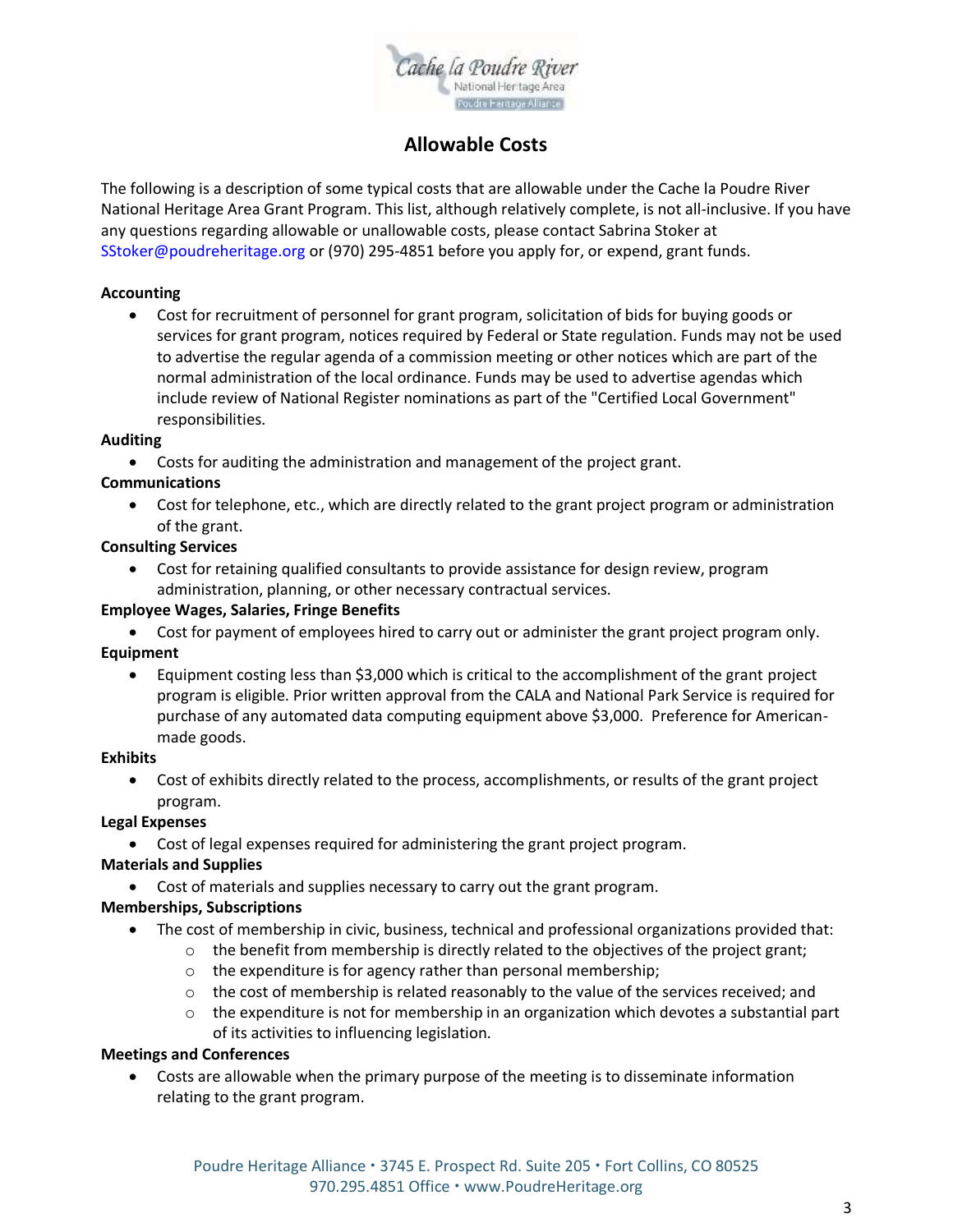

# **Allowable Costs**

The following is a description of some typical costs that are allowable under the Cache la Poudre River National Heritage Area Grant Program. This list, although relatively complete, is not all-inclusive. If you have any questions regarding allowable or unallowable costs, please contact Sabrina Stoker at SStoker@poudreheritage.org or (970) 295-4851 before you apply for, or expend, grant funds.

#### **Accounting**

 Cost for recruitment of personnel for grant program, solicitation of bids for buying goods or services for grant program, notices required by Federal or State regulation. Funds may not be used to advertise the regular agenda of a commission meeting or other notices which are part of the normal administration of the local ordinance. Funds may be used to advertise agendas which include review of National Register nominations as part of the "Certified Local Government" responsibilities.

#### **Auditing**

Costs for auditing the administration and management of the project grant.

#### **Communications**

 Cost for telephone, etc., which are directly related to the grant project program or administration of the grant.

#### **Consulting Services**

 Cost for retaining qualified consultants to provide assistance for design review, program administration, planning, or other necessary contractual services.

#### **Employee Wages, Salaries, Fringe Benefits**

- Cost for payment of employees hired to carry out or administer the grant project program only. **Equipment**
	- Equipment costing less than \$3,000 which is critical to the accomplishment of the grant project program is eligible. Prior written approval from the CALA and National Park Service is required for purchase of any automated data computing equipment above \$3,000. Preference for Americanmade goods.

#### **Exhibits**

 Cost of exhibits directly related to the process, accomplishments, or results of the grant project program.

#### **Legal Expenses**

Cost of legal expenses required for administering the grant project program.

#### **Materials and Supplies**

Cost of materials and supplies necessary to carry out the grant program.

#### **Memberships, Subscriptions**

- The cost of membership in civic, business, technical and professional organizations provided that:
	- $\circ$  the benefit from membership is directly related to the objectives of the project grant;
	- o the expenditure is for agency rather than personal membership;
	- $\circ$  the cost of membership is related reasonably to the value of the services received; and
	- $\circ$  the expenditure is not for membership in an organization which devotes a substantial part of its activities to influencing legislation.

#### **Meetings and Conferences**

 Costs are allowable when the primary purpose of the meeting is to disseminate information relating to the grant program.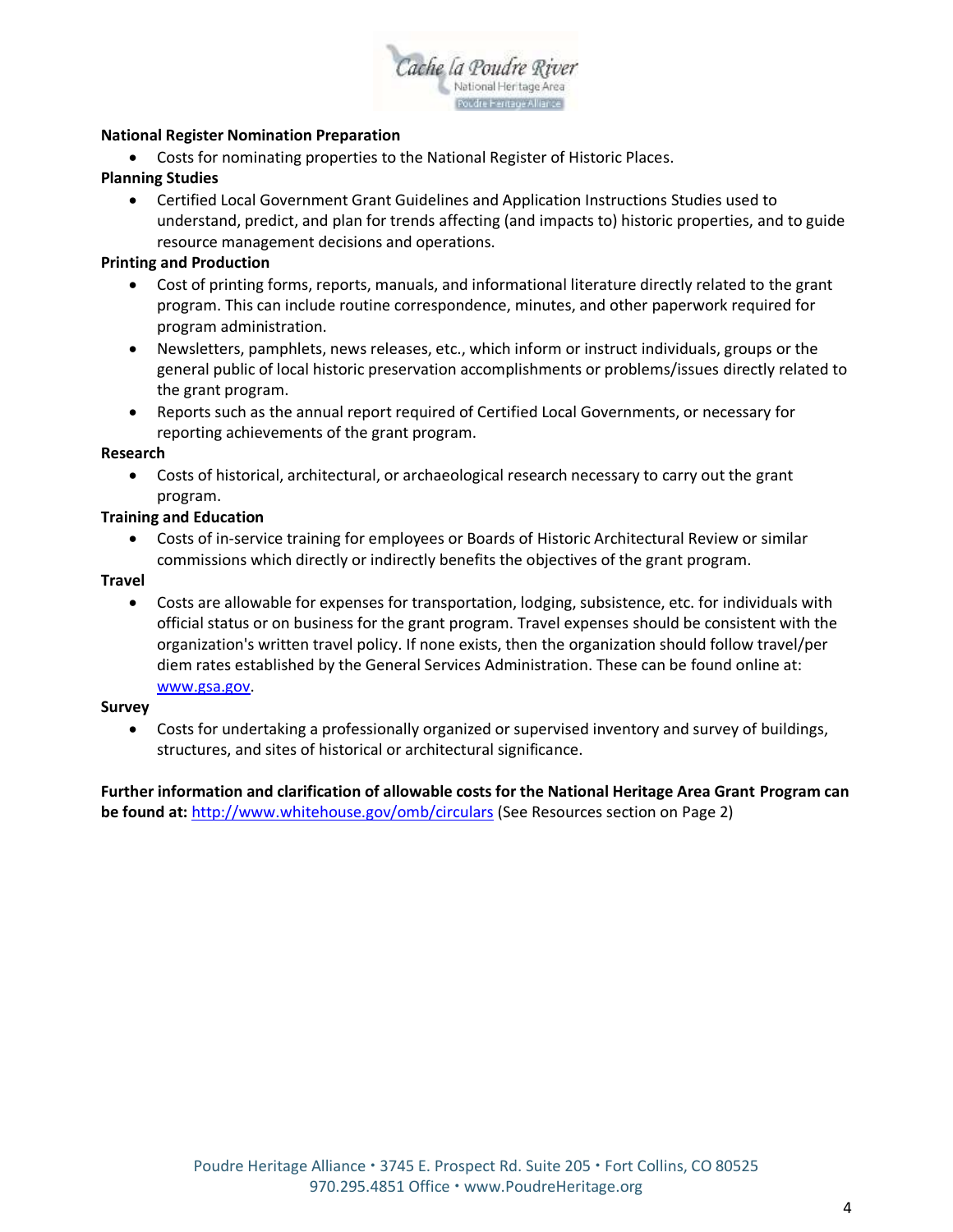

#### **National Register Nomination Preparation**

Costs for nominating properties to the National Register of Historic Places.

#### **Planning Studies**

 Certified Local Government Grant Guidelines and Application Instructions Studies used to understand, predict, and plan for trends affecting (and impacts to) historic properties, and to guide resource management decisions and operations.

#### **Printing and Production**

- Cost of printing forms, reports, manuals, and informational literature directly related to the grant program. This can include routine correspondence, minutes, and other paperwork required for program administration.
- Newsletters, pamphlets, news releases, etc., which inform or instruct individuals, groups or the general public of local historic preservation accomplishments or problems/issues directly related to the grant program.
- Reports such as the annual report required of Certified Local Governments, or necessary for reporting achievements of the grant program.

#### **Research**

 Costs of historical, architectural, or archaeological research necessary to carry out the grant program.

#### **Training and Education**

 Costs of in-service training for employees or Boards of Historic Architectural Review or similar commissions which directly or indirectly benefits the objectives of the grant program.

#### **Travel**

 Costs are allowable for expenses for transportation, lodging, subsistence, etc. for individuals with official status or on business for the grant program. Travel expenses should be consistent with the organization's written travel policy. If none exists, then the organization should follow travel/per diem rates established by the General Services Administration. These can be found online at: [www.gsa.gov.](http://www.gsa.gov/)

#### **Survey**

 Costs for undertaking a professionally organized or supervised inventory and survey of buildings, structures, and sites of historical or architectural significance.

**Further information and clarification of allowable costs for the National Heritage Area Grant Program can be found at:** <http://www.whitehouse.gov/omb/circulars> (See Resources section on Page 2)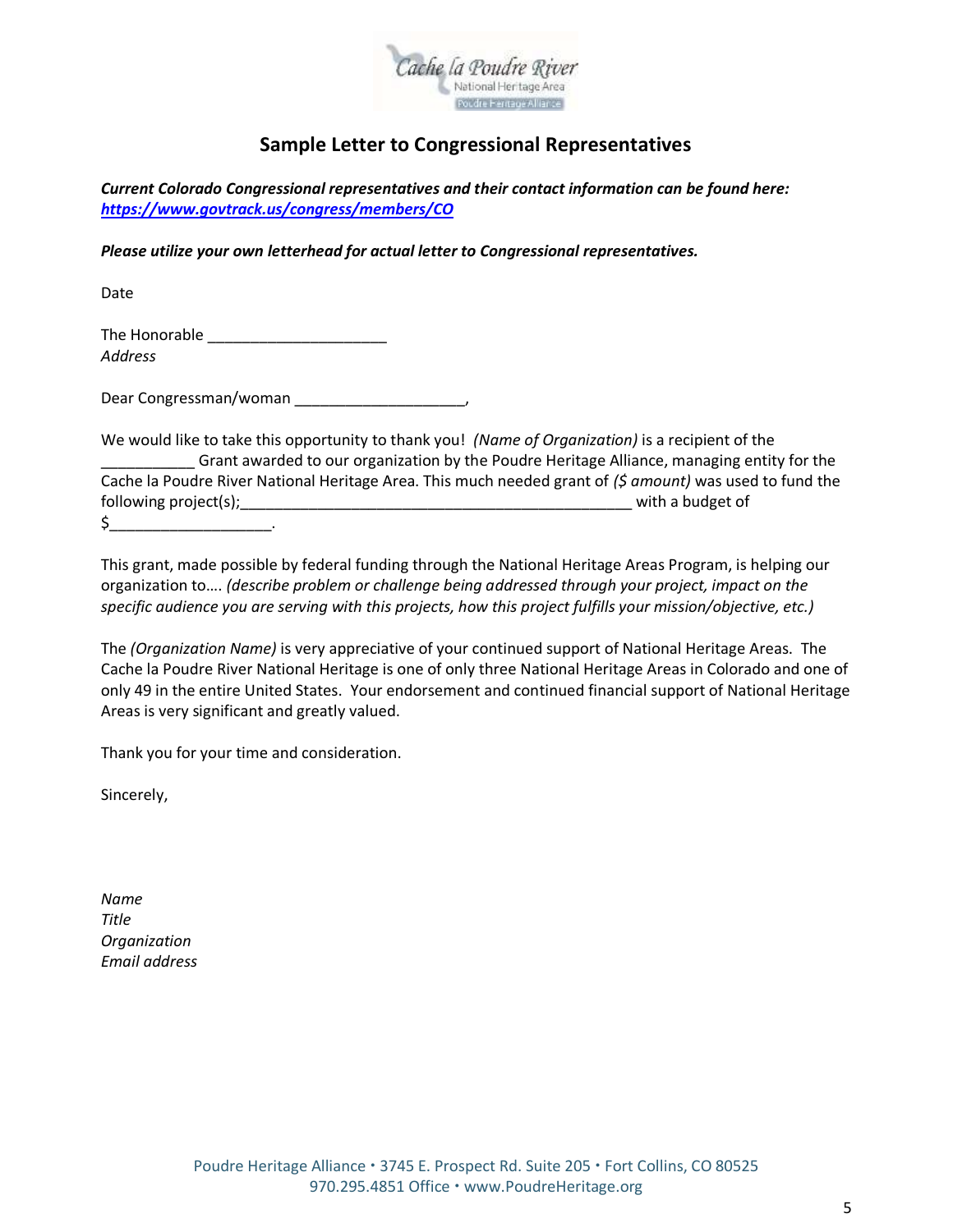

# **Sample Letter to Congressional Representatives**

*Current Colorado Congressional representatives and their contact information can be found here: <https://www.govtrack.us/congress/members/CO>*

*Please utilize your own letterhead for actual letter to Congressional representatives.* 

Date

The Honorable **Example** *Address*

Dear Congressman/woman \_\_\_\_\_\_\_\_\_\_\_\_\_\_\_\_\_\_\_\_,

We would like to take this opportunity to thank you! *(Name of Organization)* is a recipient of the \_\_\_\_\_\_\_\_\_\_\_ Grant awarded to our organization by the Poudre Heritage Alliance, managing entity for the Cache la Poudre River National Heritage Area. This much needed grant of *(\$ amount)* was used to fund the following project(s);\_\_\_\_\_\_\_\_\_\_\_\_\_\_\_\_\_\_\_\_\_\_\_\_\_\_\_\_\_\_\_\_\_\_\_\_\_\_\_\_\_\_\_\_\_\_ with a budget of  $\zeta$  .

This grant, made possible by federal funding through the National Heritage Areas Program, is helping our organization to…. *(describe problem or challenge being addressed through your project, impact on the specific audience you are serving with this projects, how this project fulfills your mission/objective, etc.)*

The *(Organization Name)* is very appreciative of your continued support of National Heritage Areas. The Cache la Poudre River National Heritage is one of only three National Heritage Areas in Colorado and one of only 49 in the entire United States. Your endorsement and continued financial support of National Heritage Areas is very significant and greatly valued.

Thank you for your time and consideration.

Sincerely,

*Name Title Organization Email address*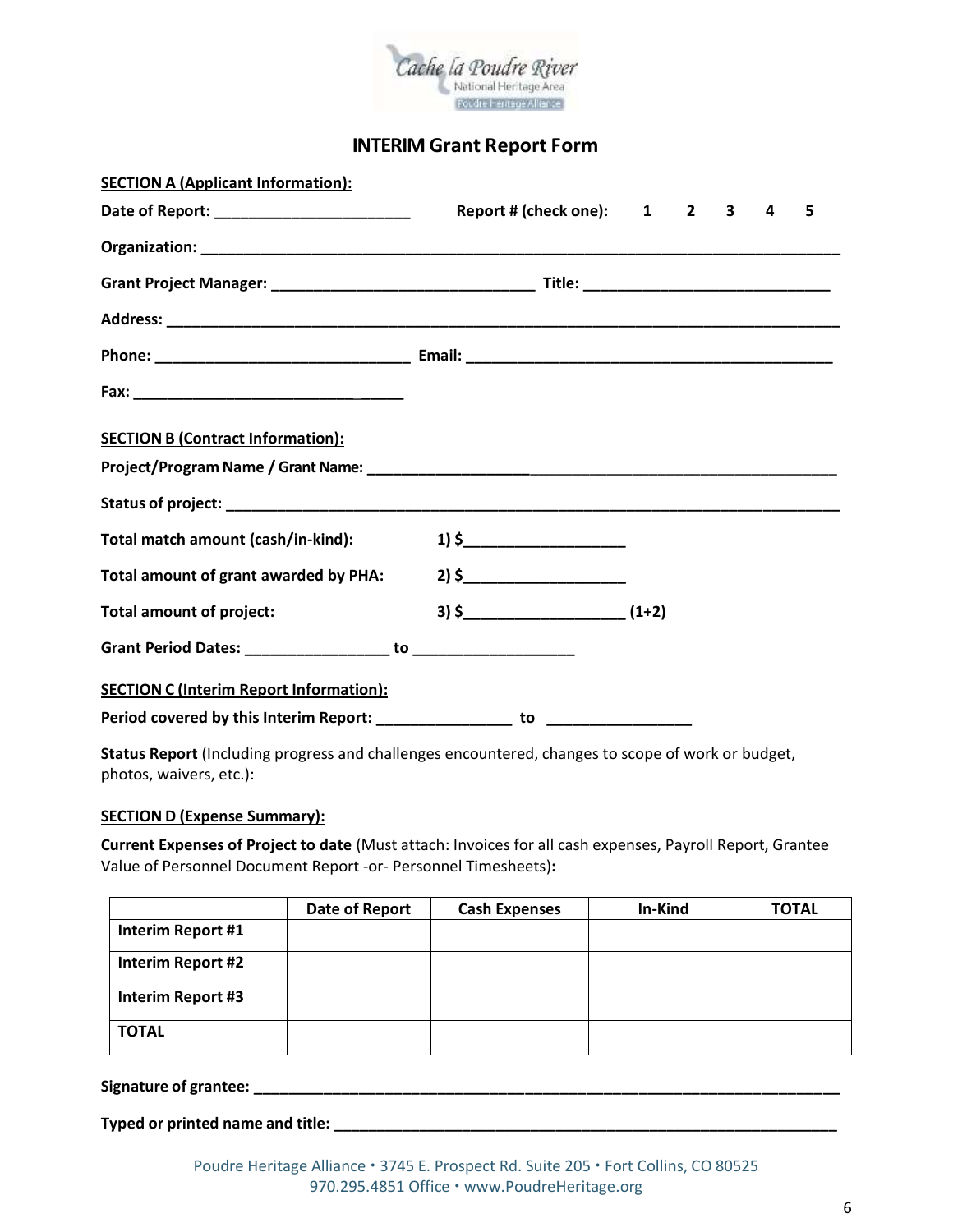

### **INTERIM Grant Report Form**

| <b>SECTION A (Applicant Information):</b>      |                             |  |   |   |
|------------------------------------------------|-----------------------------|--|---|---|
|                                                | Report # (check one): 1 2 3 |  | 4 | 5 |
|                                                |                             |  |   |   |
|                                                |                             |  |   |   |
|                                                |                             |  |   |   |
|                                                |                             |  |   |   |
|                                                |                             |  |   |   |
| <b>SECTION B (Contract Information):</b>       |                             |  |   |   |
|                                                |                             |  |   |   |
|                                                |                             |  |   |   |
| Total match amount (cash/in-kind):             | $1)$ \$                     |  |   |   |
| Total amount of grant awarded by PHA:          | $2)$ \$                     |  |   |   |
| <b>Total amount of project:</b>                |                             |  |   |   |
|                                                |                             |  |   |   |
| <b>SECTION C (Interim Report Information):</b> |                             |  |   |   |
|                                                |                             |  |   |   |

**Status Report** (Including progress and challenges encountered, changes to scope of work or budget, photos, waivers, etc.):

#### **SECTION D (Expense Summary):**

**Current Expenses of Project to date** (Must attach: Invoices for all cash expenses, Payroll Report, Grantee Value of Personnel Document Report -or- Personnel Timesheets)**:**

|                   | Date of Report | <b>Cash Expenses</b> | In-Kind | <b>TOTAL</b> |
|-------------------|----------------|----------------------|---------|--------------|
| Interim Report #1 |                |                      |         |              |
| Interim Report #2 |                |                      |         |              |
| Interim Report #3 |                |                      |         |              |
| <b>TOTAL</b>      |                |                      |         |              |

**Signature of grantee: \_\_\_\_\_\_\_\_\_\_\_\_\_\_\_\_\_\_\_\_\_\_\_\_\_\_\_\_\_\_\_\_\_\_\_\_\_\_\_\_\_\_\_\_\_\_\_\_\_\_\_\_\_\_\_\_\_\_\_\_\_\_\_\_\_\_\_**

**Typed or printed name and title: \_\_\_\_\_\_\_\_\_\_\_\_\_\_\_\_\_\_\_\_\_\_\_\_\_\_\_\_\_\_\_\_\_\_\_\_\_\_\_\_\_\_\_\_\_\_\_\_\_\_\_\_\_\_\_\_\_\_\_**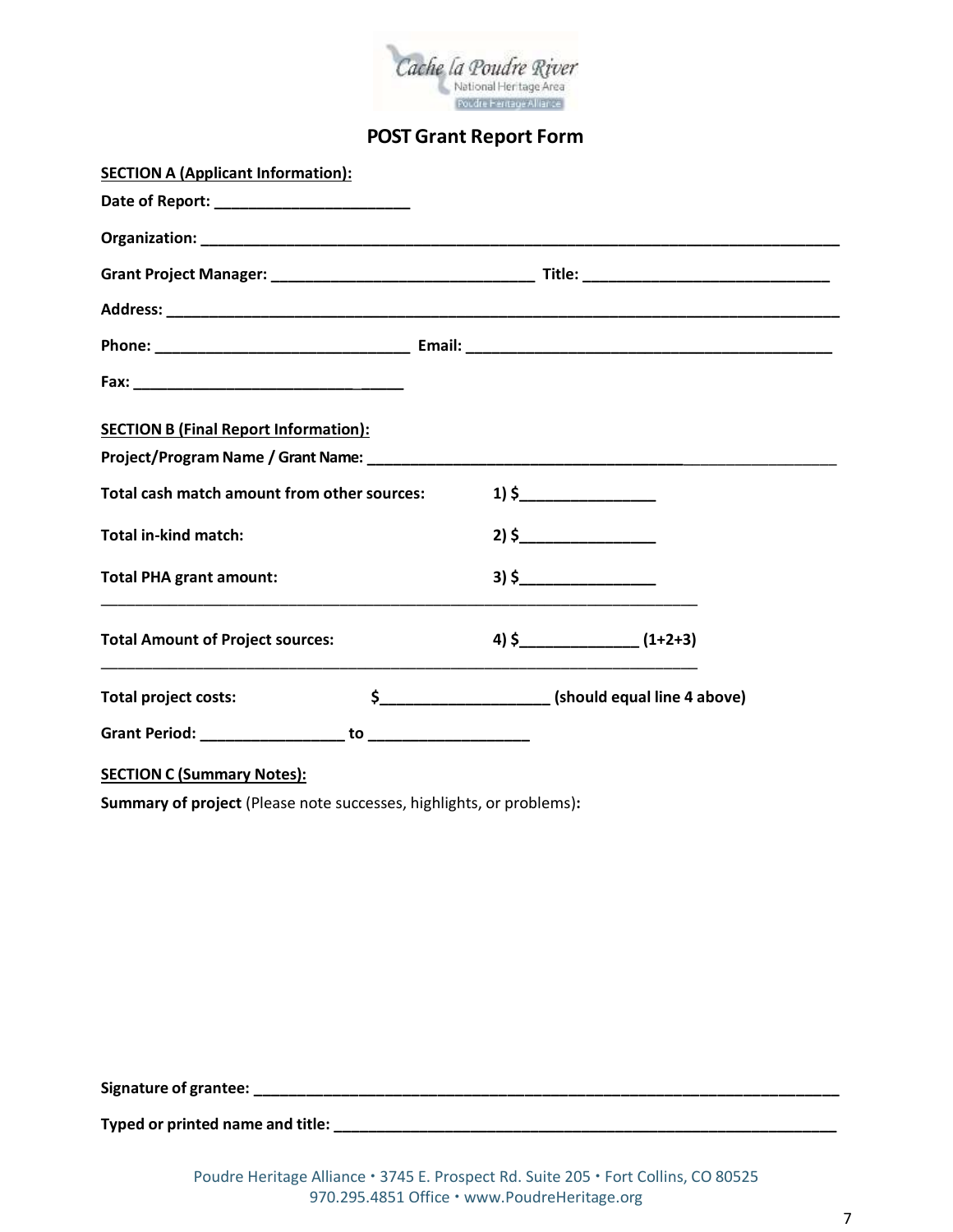

### **POST Grant Report Form**

| <b>SECTION A (Applicant Information):</b>    |                                                                                                                                                                                                                                                   |
|----------------------------------------------|---------------------------------------------------------------------------------------------------------------------------------------------------------------------------------------------------------------------------------------------------|
|                                              |                                                                                                                                                                                                                                                   |
|                                              |                                                                                                                                                                                                                                                   |
|                                              |                                                                                                                                                                                                                                                   |
|                                              |                                                                                                                                                                                                                                                   |
|                                              |                                                                                                                                                                                                                                                   |
|                                              |                                                                                                                                                                                                                                                   |
| <b>SECTION B (Final Report Information):</b> |                                                                                                                                                                                                                                                   |
|                                              |                                                                                                                                                                                                                                                   |
| Total cash match amount from other sources:  | $1)$ \$                                                                                                                                                                                                                                           |
| <b>Total in-kind match:</b>                  | $2)$ \$                                                                                                                                                                                                                                           |
| <b>Total PHA grant amount:</b>               | $3)$ \$                                                                                                                                                                                                                                           |
| <b>Total Amount of Project sources:</b>      | $(1+2+3)$<br><u> 1989 - Johann Harry Harry Harry Harry Harry Harry Harry Harry Harry Harry Harry Harry Harry Harry Harry Harry Harry Harry Harry Harry Harry Harry Harry Harry Harry Harry Harry Harry Harry Harry Harry Harry Harry Harry Ha</u> |
| <b>Total project costs:</b>                  |                                                                                                                                                                                                                                                   |
|                                              |                                                                                                                                                                                                                                                   |
| <b>SECTION C (Summary Notes):</b>            |                                                                                                                                                                                                                                                   |

**Summary of project** (Please note successes, highlights, or problems)**:** 

**Signature of grantee: \_\_\_\_\_\_\_\_\_\_\_\_\_\_\_\_\_\_\_\_\_\_\_\_\_\_\_\_\_\_\_\_\_\_\_\_\_\_\_\_\_\_\_\_\_\_\_\_\_\_\_\_\_\_\_\_\_\_\_\_\_\_\_\_\_\_\_**

**Typed or printed name and title: \_\_\_\_\_\_\_\_\_\_\_\_\_\_\_\_\_\_\_\_\_\_\_\_\_\_\_\_\_\_\_\_\_\_\_\_\_\_\_\_\_\_\_\_\_\_\_\_\_\_\_\_\_\_\_\_\_\_\_**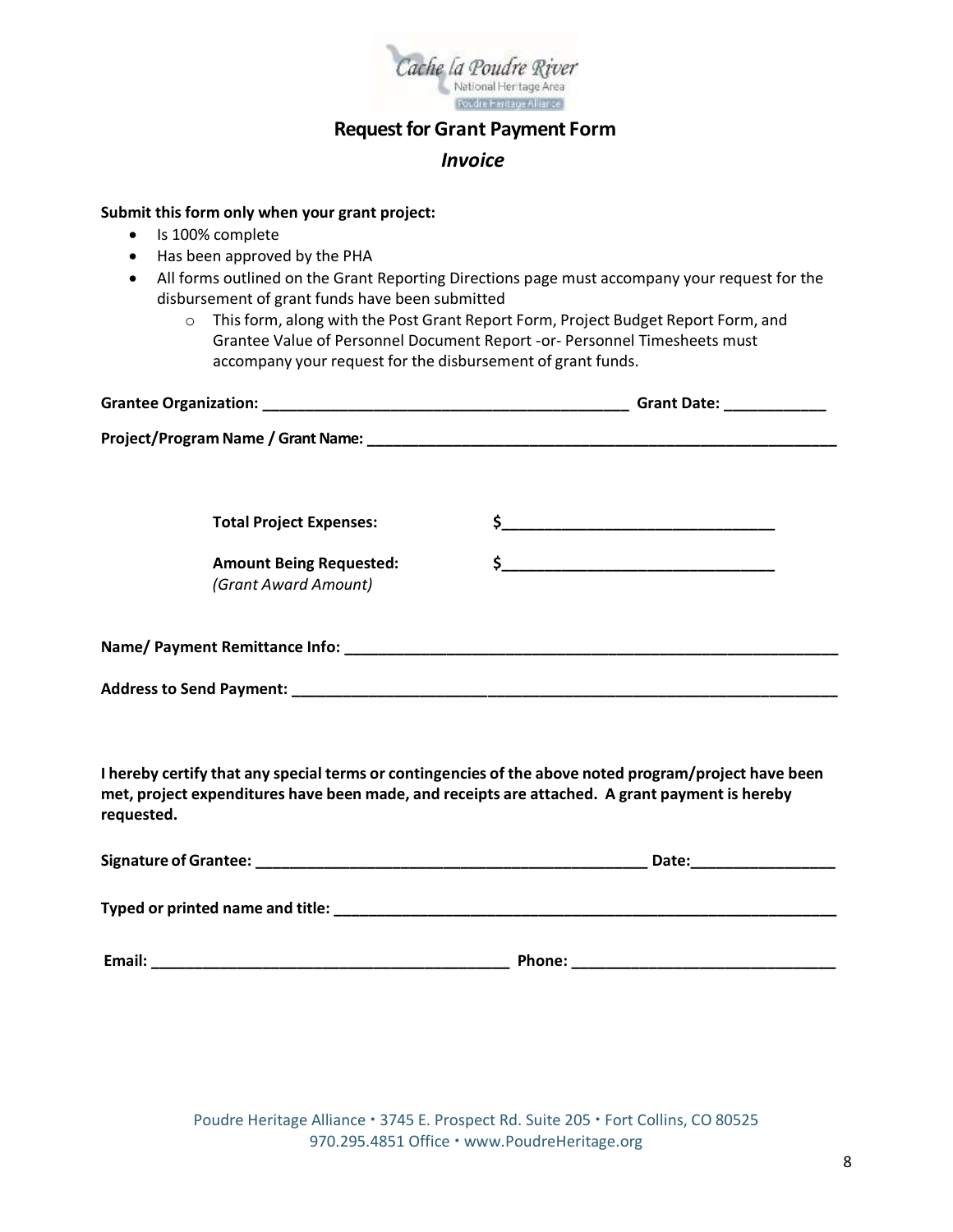

# **Request for Grant Payment Form**

### *Invoice*

#### **Submit this form only when your grant project:**

- Is 100% complete
- Has been approved by the PHA
- All forms outlined on the Grant Reporting Directions page must accompany your request for the disbursement of grant funds have been submitted
	- o This form, along with the Post Grant Report Form, Project Budget Report Form, and Grantee Value of Personnel Document Report -or- Personnel Timesheets must accompany your request for the disbursement of grant funds.

|                                                                                                                                                                                                                                | Grant Date: _____________ |
|--------------------------------------------------------------------------------------------------------------------------------------------------------------------------------------------------------------------------------|---------------------------|
|                                                                                                                                                                                                                                |                           |
|                                                                                                                                                                                                                                |                           |
| <b>Total Project Expenses:</b>                                                                                                                                                                                                 |                           |
| <b>Amount Being Requested:</b><br>(Grant Award Amount)                                                                                                                                                                         |                           |
| Name/ Payment Remittance Info: Name of the Contract of the Contract of the Contract of the Contract of the Contract of the Contract of the Contract of the Contract of the Contract of the Contract of the Contract of the Con |                           |
| <b>Address to Send Payment:</b>                                                                                                                                                                                                |                           |

**I hereby certify that any special terms or contingencies of the above noted program/project have been met, project expenditures have been made, and receipts are attached. A grant payment is hereby requested.**

| Signature of Grantee:              |        | Date: |  |
|------------------------------------|--------|-------|--|
| Typed or printed name and title: _ |        |       |  |
| Email:                             | Phone: |       |  |

Poudre Heritage Alliance · 3745 E. Prospect Rd. Suite 205 · Fort Collins, CO 80525 970.295.4851 Office · www.PoudreHeritage.org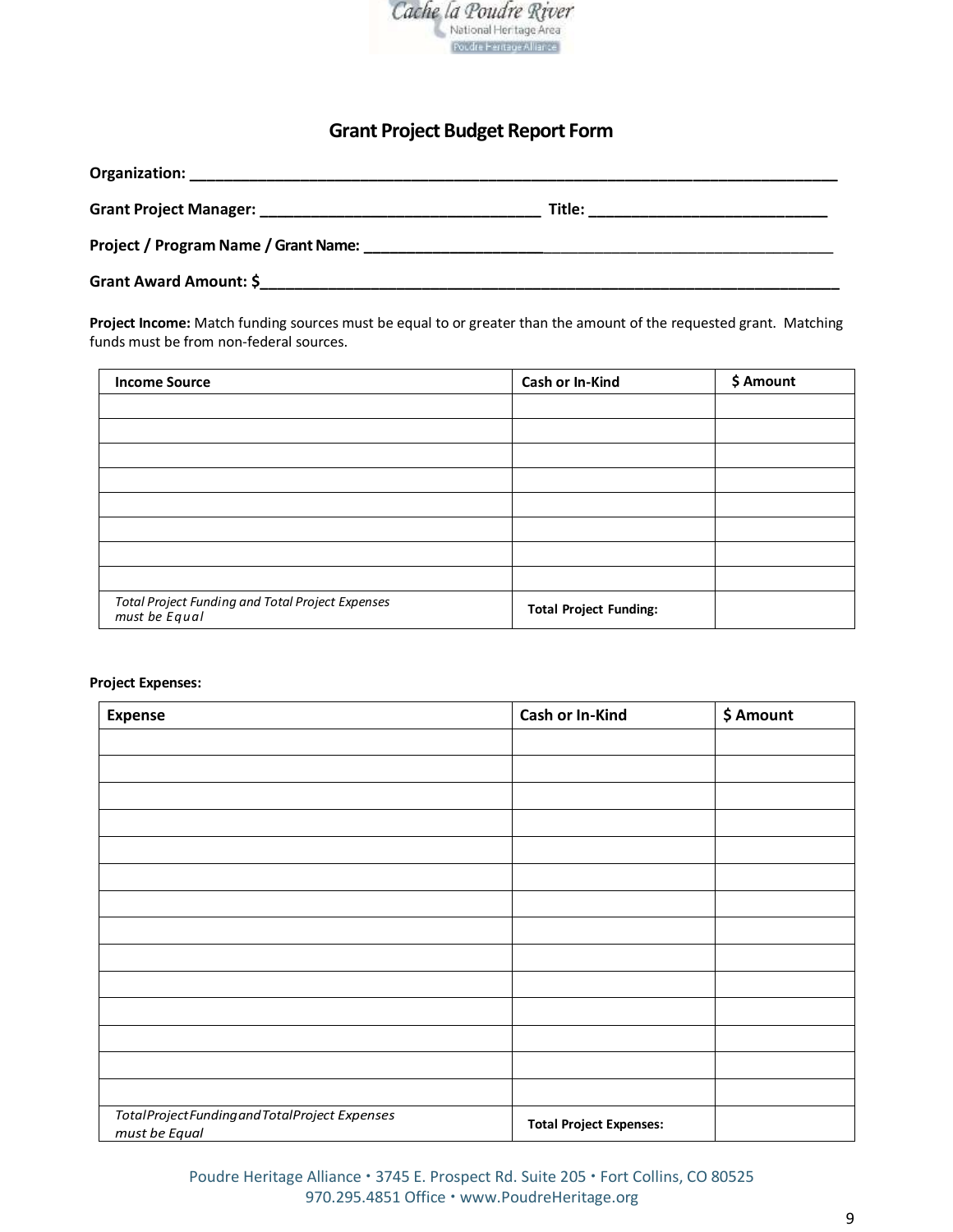

# **Grant Project Budget Report Form**

|                                                                                                                                                                 | Title: |
|-----------------------------------------------------------------------------------------------------------------------------------------------------------------|--------|
| Project / Program Name / Grant Name:<br><u> 1989 - Jan Alexandro Alexandro Alexandro Alexandro Alexandro Alexandro Alexandro Alexandro Alexandro Alexandro </u> |        |
| Grant Award Amount: \$                                                                                                                                          |        |

**Project Income:** Match funding sources must be equal to or greater than the amount of the requested grant. Matching funds must be from non-federal sources.

| <b>Income Source</b>                                              | <b>Cash or In-Kind</b>        | \$ Amount |
|-------------------------------------------------------------------|-------------------------------|-----------|
|                                                                   |                               |           |
|                                                                   |                               |           |
|                                                                   |                               |           |
|                                                                   |                               |           |
|                                                                   |                               |           |
|                                                                   |                               |           |
|                                                                   |                               |           |
|                                                                   |                               |           |
| Total Project Funding and Total Project Expenses<br>must be Equal | <b>Total Project Funding:</b> |           |

#### **Project Expenses:**

| <b>Expense</b>                                               | Cash or In-Kind                | \$ Amount |
|--------------------------------------------------------------|--------------------------------|-----------|
|                                                              |                                |           |
|                                                              |                                |           |
|                                                              |                                |           |
|                                                              |                                |           |
|                                                              |                                |           |
|                                                              |                                |           |
|                                                              |                                |           |
|                                                              |                                |           |
|                                                              |                                |           |
|                                                              |                                |           |
|                                                              |                                |           |
|                                                              |                                |           |
|                                                              |                                |           |
|                                                              |                                |           |
| TotalProjectFundingandTotalProject Expenses<br>must be Equal | <b>Total Project Expenses:</b> |           |

Poudre Heritage Alliance · 3745 E. Prospect Rd. Suite 205 · Fort Collins, CO 80525 970.295.4851 Office · www.PoudreHeritage.org